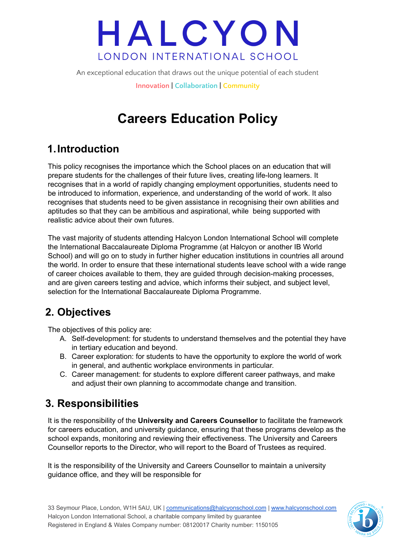# HALCYON LONDON INTERNATIONAL SCHOOL

An exceptional education that draws out the unique potential of each student

**Innovation | Collaboration | Community**

## **Careers Education Policy**

## **1.Introduction**

This policy recognises the importance which the School places on an education that will prepare students for the challenges of their future lives, creating life-long learners. It recognises that in a world of rapidly changing employment opportunities, students need to be introduced to information, experience, and understanding of the world of work. It also recognises that students need to be given assistance in recognising their own abilities and aptitudes so that they can be ambitious and aspirational, while being supported with realistic advice about their own futures.

The vast majority of students attending Halcyon London International School will complete the International Baccalaureate Diploma Programme (at Halcyon or another IB World School) and will go on to study in further higher education institutions in countries all around the world. In order to ensure that these international students leave school with a wide range of career choices available to them, they are guided through decision-making processes, and are given careers testing and advice, which informs their subject, and subject level, selection for the International Baccalaureate Diploma Programme.

## **2. Objectives**

The objectives of this policy are:

- A. Self-development: for students to understand themselves and the potential they have in tertiary education and beyond.
- B. Career exploration: for students to have the opportunity to explore the world of work in general, and authentic workplace environments in particular.
- C. Career management: for students to explore different career pathways, and make and adjust their own planning to accommodate change and transition.

### **3. Responsibilities**

It is the responsibility of the **University and Careers Counsellor** to facilitate the framework for careers education, and university guidance, ensuring that these programs develop as the school expands, monitoring and reviewing their effectiveness. The University and Careers Counsellor reports to the Director, who will report to the Board of Trustees as required.

It is the responsibility of the University and Careers Counsellor to maintain a university guidance office, and they will be responsible for

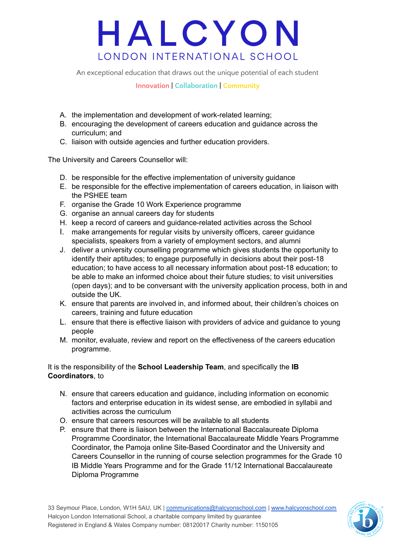# HALCYON LONDON INTERNATIONAL SCHOOL

An exceptional education that draws out the unique potential of each student

#### **Innovation | Collaboration | Community**

- A. the implementation and development of work-related learning;
- B. encouraging the development of careers education and guidance across the curriculum; and
- C. liaison with outside agencies and further education providers.

The University and Careers Counsellor will:

- D. be responsible for the effective implementation of university guidance
- E. be responsible for the effective implementation of careers education, in liaison with the PSHEE team
- F. organise the Grade 10 Work Experience programme
- G. organise an annual careers day for students
- H. keep a record of careers and guidance-related activities across the School
- I. make arrangements for regular visits by university officers, career guidance specialists, speakers from a variety of employment sectors, and alumni
- J. deliver a university counselling programme which gives students the opportunity to identify their aptitudes; to engage purposefully in decisions about their post-18 education; to have access to all necessary information about post-18 education; to be able to make an informed choice about their future studies; to visit universities (open days); and to be conversant with the university application process, both in and outside the UK.
- K. ensure that parents are involved in, and informed about, their children's choices on careers, training and future education
- L. ensure that there is effective liaison with providers of advice and guidance to young people
- M. monitor, evaluate, review and report on the effectiveness of the careers education programme.

#### It is the responsibility of the **School Leadership Team**, and specifically the **IB Coordinators**, to

- N. ensure that careers education and guidance, including information on economic factors and enterprise education in its widest sense, are embodied in syllabii and activities across the curriculum
- O. ensure that careers resources will be available to all students
- P. ensure that there is liaison between the International Baccalaureate Diploma Programme Coordinator, the International Baccalaureate Middle Years Programme Coordinator, the Pamoja online Site-Based Coordinator and the University and Careers Counsellor in the running of course selection programmes for the Grade 10 IB Middle Years Programme and for the Grade 11/12 International Baccalaureate Diploma Programme